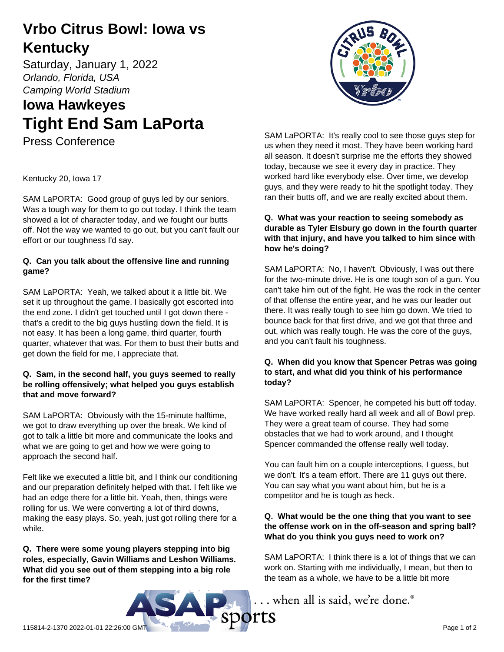# **Vrbo Citrus Bowl: Iowa vs Kentucky**

Saturday, January 1, 2022 *Orlando, Florida, USA Camping World Stadium*

# **Iowa Hawkeyes Tight End Sam LaPorta**

Press Conference



SAM LaPORTA: Good group of guys led by our seniors. Was a tough way for them to go out today. I think the team showed a lot of character today, and we fought our butts off. Not the way we wanted to go out, but you can't fault our effort or our toughness I'd say.

# **Q. Can you talk about the offensive line and running game?**

SAM LaPORTA: Yeah, we talked about it a little bit. We set it up throughout the game. I basically got escorted into the end zone. I didn't get touched until I got down there that's a credit to the big guys hustling down the field. It is not easy. It has been a long game, third quarter, fourth quarter, whatever that was. For them to bust their butts and get down the field for me, I appreciate that.

#### **Q. Sam, in the second half, you guys seemed to really be rolling offensively; what helped you guys establish that and move forward?**

SAM LaPORTA: Obviously with the 15-minute halftime, we got to draw everything up over the break. We kind of got to talk a little bit more and communicate the looks and what we are going to get and how we were going to approach the second half.

Felt like we executed a little bit, and I think our conditioning and our preparation definitely helped with that. I felt like we had an edge there for a little bit. Yeah, then, things were rolling for us. We were converting a lot of third downs, making the easy plays. So, yeah, just got rolling there for a while.

**Q. There were some young players stepping into big roles, especially, Gavin Williams and Leshon Williams. What did you see out of them stepping into a big role for the first time?**



SAM LaPORTA: It's really cool to see those guys step for us when they need it most. They have been working hard all season. It doesn't surprise me the efforts they showed today, because we see it every day in practice. They worked hard like everybody else. Over time, we develop guys, and they were ready to hit the spotlight today. They ran their butts off, and we are really excited about them.

### **Q. What was your reaction to seeing somebody as durable as Tyler Elsbury go down in the fourth quarter with that injury, and have you talked to him since with how he's doing?**

SAM LaPORTA: No, I haven't. Obviously, I was out there for the two-minute drive. He is one tough son of a gun. You can't take him out of the fight. He was the rock in the center of that offense the entire year, and he was our leader out there. It was really tough to see him go down. We tried to bounce back for that first drive, and we got that three and out, which was really tough. He was the core of the guys, and you can't fault his toughness.

### **Q. When did you know that Spencer Petras was going to start, and what did you think of his performance today?**

SAM LaPORTA: Spencer, he competed his butt off today. We have worked really hard all week and all of Bowl prep. They were a great team of course. They had some obstacles that we had to work around, and I thought Spencer commanded the offense really well today.

You can fault him on a couple interceptions, I guess, but we don't. It's a team effort. There are 11 guys out there. You can say what you want about him, but he is a competitor and he is tough as heck.

## **Q. What would be the one thing that you want to see the offense work on in the off-season and spring ball? What do you think you guys need to work on?**

SAM LaPORTA: I think there is a lot of things that we can work on. Starting with me individually, I mean, but then to the team as a whole, we have to be a little bit more

... when all is said, we're done.<sup>®</sup>